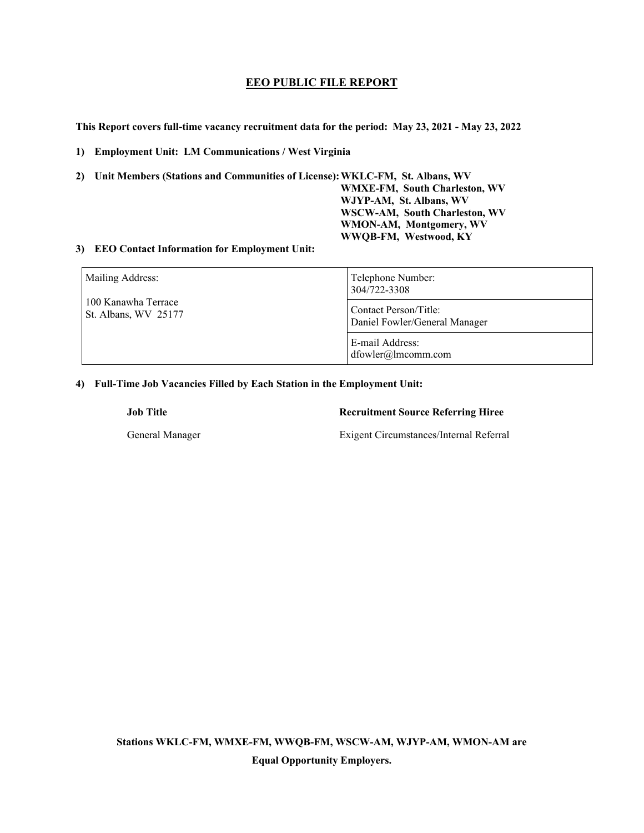# **EEO PUBLIC FILE REPORT**

**This Report covers full-time vacancy recruitment data for the period: May 23, 2021 - May 23, 2022** 

**1) Employment Unit: LM Communications / West Virginia**

**2) Unit Members (Stations and Communities of License): WKLC-FM, St. Albans, WV** 

**WMXE-FM, South Charleston, WV WJYP-AM, St. Albans, WV WSCW-AM, South Charleston, WV WMON-AM, Montgomery, WV WWQB-FM, Westwood, KY** 

### **3) EEO Contact Information for Employment Unit:**

| Mailing Address:<br>100 Kanawha Terrace<br>St. Albans, WV 25177 | Telephone Number:<br>304/722-3308                      |  |
|-----------------------------------------------------------------|--------------------------------------------------------|--|
|                                                                 | Contact Person/Title:<br>Daniel Fowler/General Manager |  |
|                                                                 | E-mail Address:<br>dfowler@lmcomm.com                  |  |

### **4) Full-Time Job Vacancies Filled by Each Station in the Employment Unit:**

## **Job Title Recruitment Source Referring Hiree**

General Manager Exigent Circumstances/Internal Referral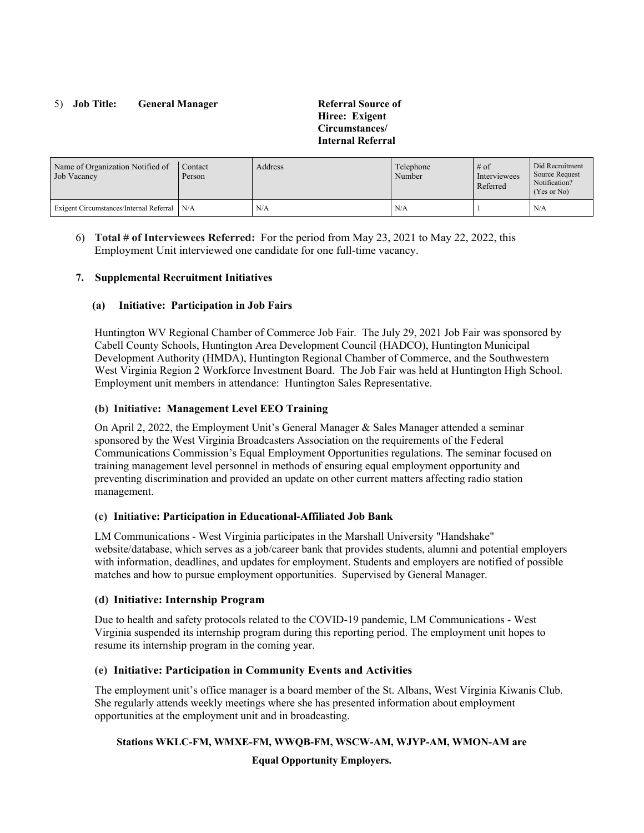## 5) **Job Title: General Manager Referral Source of**

**Hiree: Exigent Circumstances/ Internal Referral** 

| Name of Organization Notified of<br>Job Vacancy | Contact<br>Person | Address | Telephone<br>Number | $#$ of<br>Interviewees<br>Referred | Did Recruitment<br>Source Request<br>Notification?<br>(Yes or No) |
|-------------------------------------------------|-------------------|---------|---------------------|------------------------------------|-------------------------------------------------------------------|
| Exigent Circumstances/Internal Referral N/A     |                   | N/A     | N/A                 |                                    | N/A                                                               |

6) **Total # of Interviewees Referred:** For the period from May 23, 2021 to May 22, 2022, this Employment Unit interviewed one candidate for one full-time vacancy.

### **7. Supplemental Recruitment Initiatives**

### **(a) Initiative: Participation in Job Fairs**

Huntington WV Regional Chamber of Commerce Job Fair. The July 29, 2021 Job Fair was sponsored by Cabell County Schools, Huntington Area Development Council (HADCO), Huntington Municipal Development Authority (HMDA), Huntington Regional Chamber of Commerce, and the Southwestern West Virginia Region 2 Workforce Investment Board. The Job Fair was held at Huntington High School. Employment unit members in attendance: Huntington Sales Representative.

### **(b) Initiative: Management Level EEO Training**

On April 2, 2022, the Employment Unit's General Manager & Sales Manager attended a seminar sponsored by the West Virginia Broadcasters Association on the requirements of the Federal Communications Commission's Equal Employment Opportunities regulations. The seminar focused on training management level personnel in methods of ensuring equal employment opportunity and preventing discrimination and provided an update on other current matters affecting radio station management.

#### **(c) Initiative: Participation in Educational-Affiliated Job Bank**

LM Communications - West Virginia participates in the Marshall University "Handshake" website/database, which serves as a job/career bank that provides students, alumni and potential employers with information, deadlines, and updates for employment. Students and employers are notified of possible matches and how to pursue employment opportunities. Supervised by General Manager.

### **(d) Initiative: Internship Program**

Due to health and safety protocols related to the COVID-19 pandemic, LM Communications - West Virginia suspended its internship program during this reporting period. The employment unit hopes to resume its internship program in the coming year.

### **(e) Initiative: Participation in Community Events and Activities**

The employment unit's office manager is a board member of the St. Albans, West Virginia Kiwanis Club. She regularly attends weekly meetings where she has presented information about employment opportunities at the employment unit and in broadcasting.

#### **Stations WKLC-FM, WMXE-FM, WWQB-FM, WSCW-AM, WJYP-AM, WMON-AM are**

**Equal Opportunity Employers.**